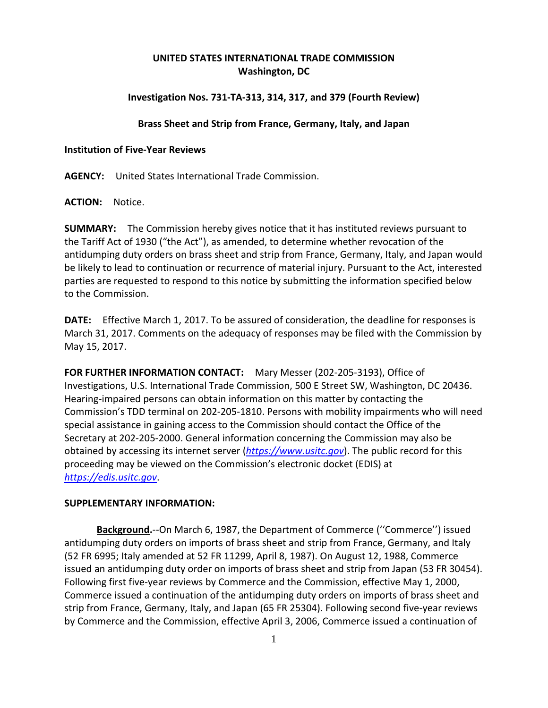# **UNITED STATES INTERNATIONAL TRADE COMMISSION Washington, DC**

## **Investigation Nos. 731-TA-313, 314, 317, and 379 (Fourth Review)**

#### **Brass Sheet and Strip from France, Germany, Italy, and Japan**

#### **Institution of Five-Year Reviews**

**AGENCY:** United States International Trade Commission.

**ACTION:** Notice.

**SUMMARY:** The Commission hereby gives notice that it has instituted reviews pursuant to the Tariff Act of 1930 ("the Act"), as amended, to determine whether revocation of the antidumping duty orders on brass sheet and strip from France, Germany, Italy, and Japan would be likely to lead to continuation or recurrence of material injury. Pursuant to the Act, interested parties are requested to respond to this notice by submitting the information specified below to the Commission.

**DATE:** Effective March 1, 2017. To be assured of consideration, the deadline for responses is March 31, 2017. Comments on the adequacy of responses may be filed with the Commission by May 15, 2017.

**FOR FURTHER INFORMATION CONTACT:** Mary Messer (202-205-3193), Office of Investigations, U.S. International Trade Commission, 500 E Street SW, Washington, DC 20436. Hearing-impaired persons can obtain information on this matter by contacting the Commission's TDD terminal on 202-205-1810. Persons with mobility impairments who will need special assistance in gaining access to the Commission should contact the Office of the Secretary at 202-205-2000. General information concerning the Commission may also be obtained by accessing its internet server (*[https://www.usitc.gov](https://www.usitc.gov/)*). The public record for this proceeding may be viewed on the Commission's electronic docket (EDIS) at *[https://edis.usitc.gov](https://edis.usitc.gov/)*.

### **SUPPLEMENTARY INFORMATION:**

**Background.**--On March 6, 1987, the Department of Commerce (''Commerce'') issued antidumping duty orders on imports of brass sheet and strip from France, Germany, and Italy (52 FR 6995; Italy amended at 52 FR 11299, April 8, 1987). On August 12, 1988, Commerce issued an antidumping duty order on imports of brass sheet and strip from Japan (53 FR 30454). Following first five-year reviews by Commerce and the Commission, effective May 1, 2000, Commerce issued a continuation of the antidumping duty orders on imports of brass sheet and strip from France, Germany, Italy, and Japan (65 FR 25304). Following second five-year reviews by Commerce and the Commission, effective April 3, 2006, Commerce issued a continuation of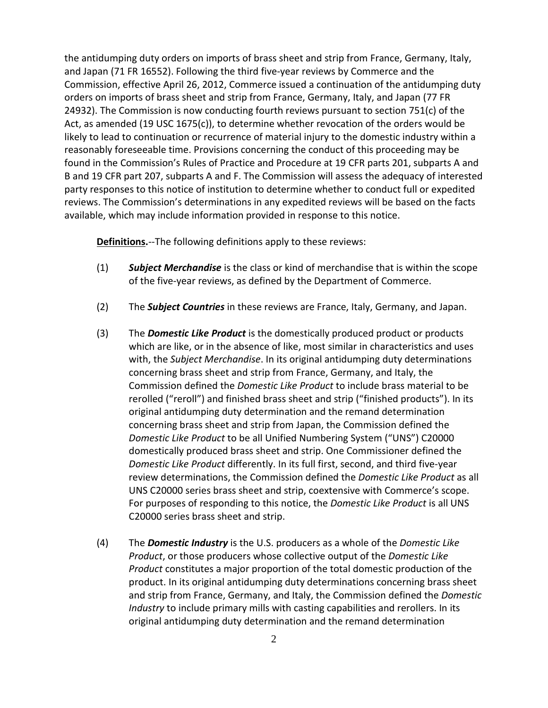the antidumping duty orders on imports of brass sheet and strip from France, Germany, Italy, and Japan (71 FR 16552). Following the third five-year reviews by Commerce and the Commission, effective April 26, 2012, Commerce issued a continuation of the antidumping duty orders on imports of brass sheet and strip from France, Germany, Italy, and Japan (77 FR 24932). The Commission is now conducting fourth reviews pursuant to section 751(c) of the Act, as amended (19 USC 1675(c)), to determine whether revocation of the orders would be likely to lead to continuation or recurrence of material injury to the domestic industry within a reasonably foreseeable time. Provisions concerning the conduct of this proceeding may be found in the Commission's Rules of Practice and Procedure at 19 CFR parts 201, subparts A and B and 19 CFR part 207, subparts A and F. The Commission will assess the adequacy of interested party responses to this notice of institution to determine whether to conduct full or expedited reviews. The Commission's determinations in any expedited reviews will be based on the facts available, which may include information provided in response to this notice.

**Definitions.**--The following definitions apply to these reviews:

- (1) *Subject Merchandise* is the class or kind of merchandise that is within the scope of the five-year reviews, as defined by the Department of Commerce.
- (2) The *Subject Countries* in these reviews are France, Italy, Germany, and Japan.
- (3) The *Domestic Like Product* is the domestically produced product or products which are like, or in the absence of like, most similar in characteristics and uses with, the *Subject Merchandise*. In its original antidumping duty determinations concerning brass sheet and strip from France, Germany, and Italy, the Commission defined the *Domestic Like Product* to include brass material to be rerolled ("reroll") and finished brass sheet and strip ("finished products"). In its original antidumping duty determination and the remand determination concerning brass sheet and strip from Japan, the Commission defined the *Domestic Like Product* to be all Unified Numbering System ("UNS") C20000 domestically produced brass sheet and strip. One Commissioner defined the *Domestic Like Product* differently. In its full first, second, and third five-year review determinations, the Commission defined the *Domestic Like Product* as all UNS C20000 series brass sheet and strip, coextensive with Commerce's scope. For purposes of responding to this notice, the *Domestic Like Product* is all UNS C20000 series brass sheet and strip.
- (4) The *Domestic Industry* is the U.S. producers as a whole of the *Domestic Like Product*, or those producers whose collective output of the *Domestic Like Product* constitutes a major proportion of the total domestic production of the product. In its original antidumping duty determinations concerning brass sheet and strip from France, Germany, and Italy, the Commission defined the *Domestic Industry* to include primary mills with casting capabilities and rerollers. In its original antidumping duty determination and the remand determination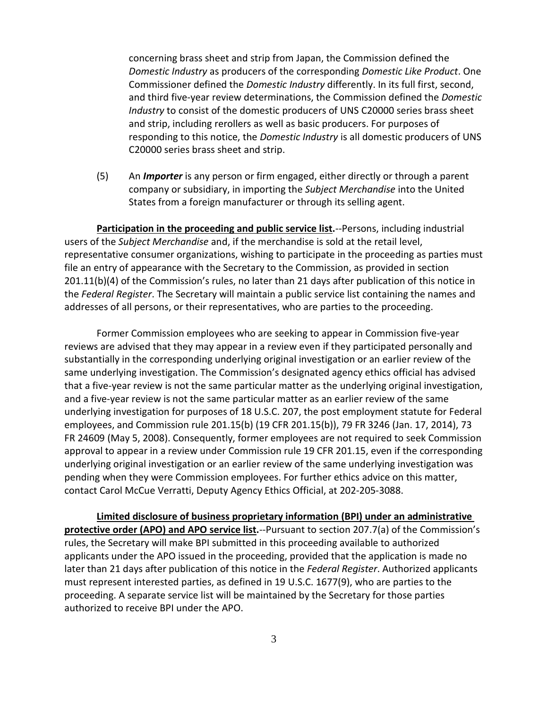concerning brass sheet and strip from Japan, the Commission defined the *Domestic Industry* as producers of the corresponding *Domestic Like Product*. One Commissioner defined the *Domestic Industry* differently. In its full first, second, and third five-year review determinations, the Commission defined the *Domestic Industry* to consist of the domestic producers of UNS C20000 series brass sheet and strip, including rerollers as well as basic producers. For purposes of responding to this notice, the *Domestic Industry* is all domestic producers of UNS C20000 series brass sheet and strip.

(5) An *Importer* is any person or firm engaged, either directly or through a parent company or subsidiary, in importing the *Subject Merchandise* into the United States from a foreign manufacturer or through its selling agent.

**Participation in the proceeding and public service list.**--Persons, including industrial users of the *Subject Merchandise* and, if the merchandise is sold at the retail level, representative consumer organizations, wishing to participate in the proceeding as parties must file an entry of appearance with the Secretary to the Commission, as provided in section 201.11(b)(4) of the Commission's rules, no later than 21 days after publication of this notice in the *Federal Register*. The Secretary will maintain a public service list containing the names and addresses of all persons, or their representatives, who are parties to the proceeding.

Former Commission employees who are seeking to appear in Commission five-year reviews are advised that they may appear in a review even if they participated personally and substantially in the corresponding underlying original investigation or an earlier review of the same underlying investigation. The Commission's designated agency ethics official has advised that a five-year review is not the same particular matter as the underlying original investigation, and a five-year review is not the same particular matter as an earlier review of the same underlying investigation for purposes of 18 U.S.C. 207, the post employment statute for Federal employees, and Commission rule 201.15(b) (19 CFR 201.15(b)), 79 FR 3246 (Jan. 17, 2014), 73 FR 24609 (May 5, 2008). Consequently, former employees are not required to seek Commission approval to appear in a review under Commission rule 19 CFR 201.15, even if the corresponding underlying original investigation or an earlier review of the same underlying investigation was pending when they were Commission employees. For further ethics advice on this matter, contact Carol McCue Verratti, Deputy Agency Ethics Official, at 202-205-3088.

**Limited disclosure of business proprietary information (BPI) under an administrative protective order (APO) and APO service list.**--Pursuant to section 207.7(a) of the Commission's rules, the Secretary will make BPI submitted in this proceeding available to authorized applicants under the APO issued in the proceeding, provided that the application is made no later than 21 days after publication of this notice in the *Federal Register*. Authorized applicants must represent interested parties, as defined in 19 U.S.C. 1677(9), who are parties to the proceeding. A separate service list will be maintained by the Secretary for those parties authorized to receive BPI under the APO.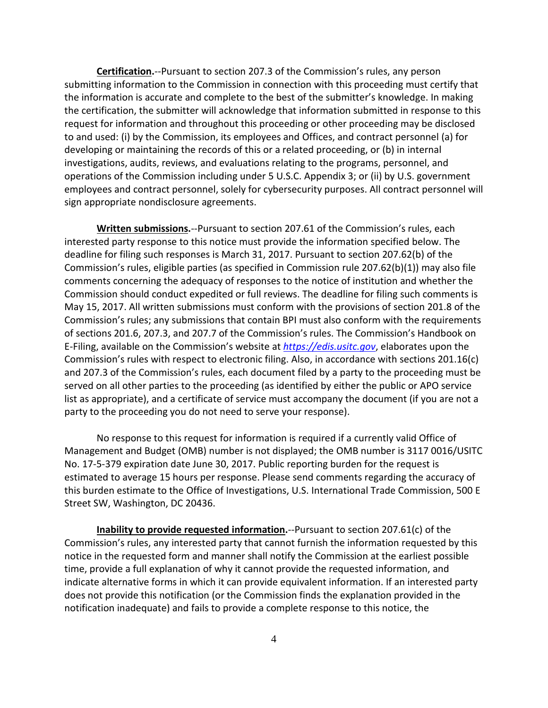**Certification.**--Pursuant to section 207.3 of the Commission's rules, any person submitting information to the Commission in connection with this proceeding must certify that the information is accurate and complete to the best of the submitter's knowledge. In making the certification, the submitter will acknowledge that information submitted in response to this request for information and throughout this proceeding or other proceeding may be disclosed to and used: (i) by the Commission, its employees and Offices, and contract personnel (a) for developing or maintaining the records of this or a related proceeding, or (b) in internal investigations, audits, reviews, and evaluations relating to the programs, personnel, and operations of the Commission including under 5 U.S.C. Appendix 3; or (ii) by U.S. government employees and contract personnel, solely for cybersecurity purposes. All contract personnel will sign appropriate nondisclosure agreements.

**Written submissions.**--Pursuant to section 207.61 of the Commission's rules, each interested party response to this notice must provide the information specified below. The deadline for filing such responses is March 31, 2017. Pursuant to section 207.62(b) of the Commission's rules, eligible parties (as specified in Commission rule 207.62(b)(1)) may also file comments concerning the adequacy of responses to the notice of institution and whether the Commission should conduct expedited or full reviews. The deadline for filing such comments is May 15, 2017. All written submissions must conform with the provisions of section 201.8 of the Commission's rules; any submissions that contain BPI must also conform with the requirements of sections 201.6, 207.3, and 207.7 of the Commission's rules. The Commission's Handbook on E-Filing, available on the Commission's website at *[https://edis.usitc.gov](https://edis.usitc.gov/)*, elaborates upon the Commission's rules with respect to electronic filing. Also, in accordance with sections 201.16(c) and 207.3 of the Commission's rules, each document filed by a party to the proceeding must be served on all other parties to the proceeding (as identified by either the public or APO service list as appropriate), and a certificate of service must accompany the document (if you are not a party to the proceeding you do not need to serve your response).

No response to this request for information is required if a currently valid Office of Management and Budget (OMB) number is not displayed; the OMB number is 3117 0016/USITC No. 17-5-379 expiration date June 30, 2017. Public reporting burden for the request is estimated to average 15 hours per response. Please send comments regarding the accuracy of this burden estimate to the Office of Investigations, U.S. International Trade Commission, 500 E Street SW, Washington, DC 20436.

**Inability to provide requested information.**--Pursuant to section 207.61(c) of the Commission's rules, any interested party that cannot furnish the information requested by this notice in the requested form and manner shall notify the Commission at the earliest possible time, provide a full explanation of why it cannot provide the requested information, and indicate alternative forms in which it can provide equivalent information. If an interested party does not provide this notification (or the Commission finds the explanation provided in the notification inadequate) and fails to provide a complete response to this notice, the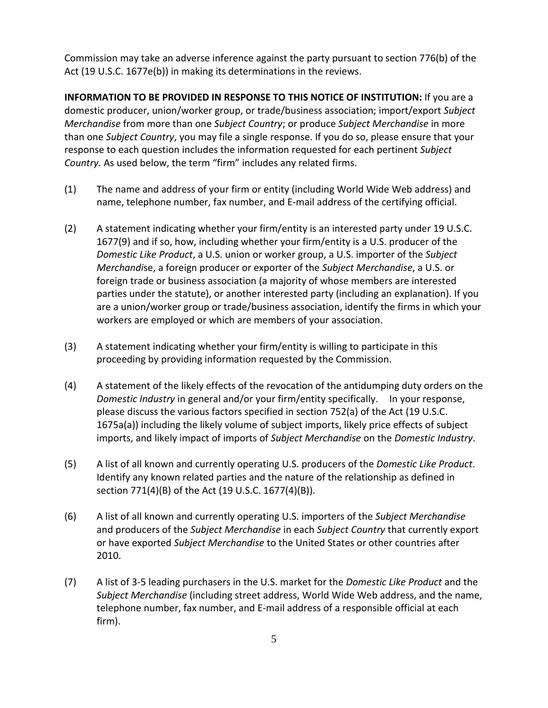Commission may take an adverse inference against the party pursuant to section 776(b) of the Act (19 U.S.C. 1677e(b)) in making its determinations in the reviews.

**INFORMATION TO BE PROVIDED IN RESPONSE TO THIS NOTICE OF INSTITUTION:** If you are a domestic producer, union/worker group, or trade/business association; import/export *Subject Merchandise* from more than one *Subject Country*; or produce *Subject Merchandise* in more than one *Subject Country*, you may file a single response. If you do so, please ensure that your response to each question includes the information requested for each pertinent *Subject Country.* As used below, the term "firm" includes any related firms.

- (1) The name and address of your firm or entity (including World Wide Web address) and name, telephone number, fax number, and E-mail address of the certifying official.
- (2) A statement indicating whether your firm/entity is an interested party under 19 U.S.C. 1677(9) and if so, how, including whether your firm/entity is a U.S. producer of the *Domestic Like Product*, a U.S. union or worker group, a U.S. importer of the *Subject Merchandi*se, a foreign producer or exporter of the *Subject Merchandise*, a U.S. or foreign trade or business association (a majority of whose members are interested parties under the statute), or another interested party (including an explanation). If you are a union/worker group or trade/business association, identify the firms in which your workers are employed or which are members of your association.
- (3) A statement indicating whether your firm/entity is willing to participate in this proceeding by providing information requested by the Commission.
- (4) A statement of the likely effects of the revocation of the antidumping duty orders on the *Domestic Industry* in general and/or your firm/entity specifically. In your response, please discuss the various factors specified in section 752(a) of the Act (19 U.S.C. 1675a(a)) including the likely volume of subject imports, likely price effects of subject imports, and likely impact of imports of *Subject Merchandise* on the *Domestic Industry*.
- (5) A list of all known and currently operating U.S. producers of the *Domestic Like Product*. Identify any known related parties and the nature of the relationship as defined in section 771(4)(B) of the Act (19 U.S.C. 1677(4)(B)).
- (6) A list of all known and currently operating U.S. importers of the *Subject Merchandise* and producers of the *Subject Merchandise* in each *Subject Country* that currently export or have exported *Subject Merchandise* to the United States or other countries after 2010.
- (7) A list of 3-5 leading purchasers in the U.S. market for the *Domestic Like Product* and the *Subject Merchandise* (including street address, World Wide Web address, and the name, telephone number, fax number, and E-mail address of a responsible official at each firm).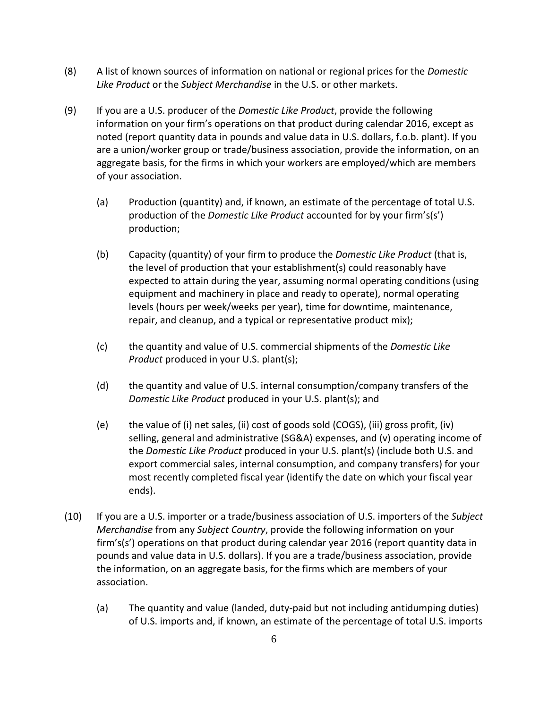- (8) A list of known sources of information on national or regional prices for the *Domestic Like Product* or the *Subject Merchandise* in the U.S. or other markets.
- (9) If you are a U.S. producer of the *Domestic Like Product*, provide the following information on your firm's operations on that product during calendar 2016, except as noted (report quantity data in pounds and value data in U.S. dollars, f.o.b. plant). If you are a union/worker group or trade/business association, provide the information, on an aggregate basis, for the firms in which your workers are employed/which are members of your association.
	- (a) Production (quantity) and, if known, an estimate of the percentage of total U.S. production of the *Domestic Like Product* accounted for by your firm's(s') production;
	- (b) Capacity (quantity) of your firm to produce the *Domestic Like Product* (that is, the level of production that your establishment(s) could reasonably have expected to attain during the year, assuming normal operating conditions (using equipment and machinery in place and ready to operate), normal operating levels (hours per week/weeks per year), time for downtime, maintenance, repair, and cleanup, and a typical or representative product mix);
	- (c) the quantity and value of U.S. commercial shipments of the *Domestic Like Product* produced in your U.S. plant(s);
	- (d) the quantity and value of U.S. internal consumption/company transfers of the *Domestic Like Product* produced in your U.S. plant(s); and
	- (e) the value of (i) net sales, (ii) cost of goods sold (COGS), (iii) gross profit, (iv) selling, general and administrative (SG&A) expenses, and (v) operating income of the *Domestic Like Product* produced in your U.S. plant(s) (include both U.S. and export commercial sales, internal consumption, and company transfers) for your most recently completed fiscal year (identify the date on which your fiscal year ends).
- (10) If you are a U.S. importer or a trade/business association of U.S. importers of the *Subject Merchandise* from any *Subject Country*, provide the following information on your firm's(s') operations on that product during calendar year 2016 (report quantity data in pounds and value data in U.S. dollars). If you are a trade/business association, provide the information, on an aggregate basis, for the firms which are members of your association.
	- (a) The quantity and value (landed, duty-paid but not including antidumping duties) of U.S. imports and, if known, an estimate of the percentage of total U.S. imports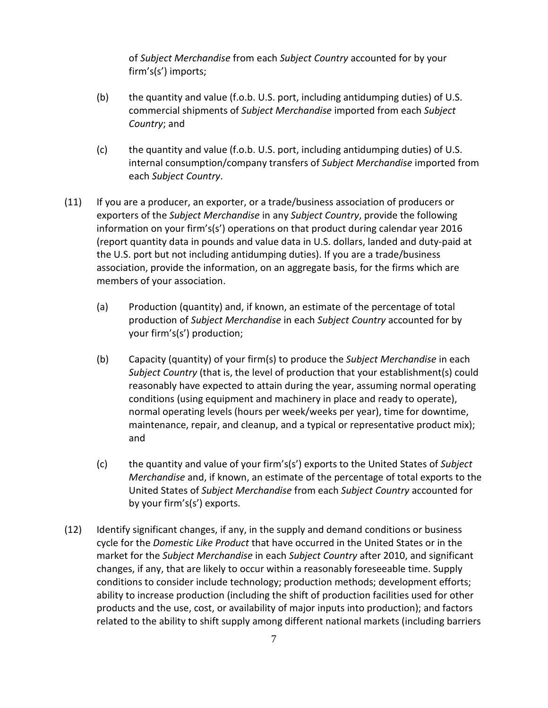of *Subject Merchandise* from each *Subject Country* accounted for by your firm's(s') imports;

- (b) the quantity and value (f.o.b. U.S. port, including antidumping duties) of U.S. commercial shipments of *Subject Merchandise* imported from each *Subject Country*; and
- (c) the quantity and value (f.o.b. U.S. port, including antidumping duties) of U.S. internal consumption/company transfers of *Subject Merchandise* imported from each *Subject Country*.
- (11) If you are a producer, an exporter, or a trade/business association of producers or exporters of the *Subject Merchandise* in any *Subject Country*, provide the following information on your firm's(s') operations on that product during calendar year 2016 (report quantity data in pounds and value data in U.S. dollars, landed and duty-paid at the U.S. port but not including antidumping duties). If you are a trade/business association, provide the information, on an aggregate basis, for the firms which are members of your association.
	- (a) Production (quantity) and, if known, an estimate of the percentage of total production of *Subject Merchandise* in each *Subject Country* accounted for by your firm's(s') production;
	- (b) Capacity (quantity) of your firm(s) to produce the *Subject Merchandise* in each *Subject Country* (that is, the level of production that your establishment(s) could reasonably have expected to attain during the year, assuming normal operating conditions (using equipment and machinery in place and ready to operate), normal operating levels (hours per week/weeks per year), time for downtime, maintenance, repair, and cleanup, and a typical or representative product mix); and
	- (c) the quantity and value of your firm's(s') exports to the United States of *Subject Merchandise* and, if known, an estimate of the percentage of total exports to the United States of *Subject Merchandise* from each *Subject Country* accounted for by your firm's(s') exports.
- (12) Identify significant changes, if any, in the supply and demand conditions or business cycle for the *Domestic Like Product* that have occurred in the United States or in the market for the *Subject Merchandise* in each *Subject Country* after 2010, and significant changes, if any, that are likely to occur within a reasonably foreseeable time. Supply conditions to consider include technology; production methods; development efforts; ability to increase production (including the shift of production facilities used for other products and the use, cost, or availability of major inputs into production); and factors related to the ability to shift supply among different national markets (including barriers